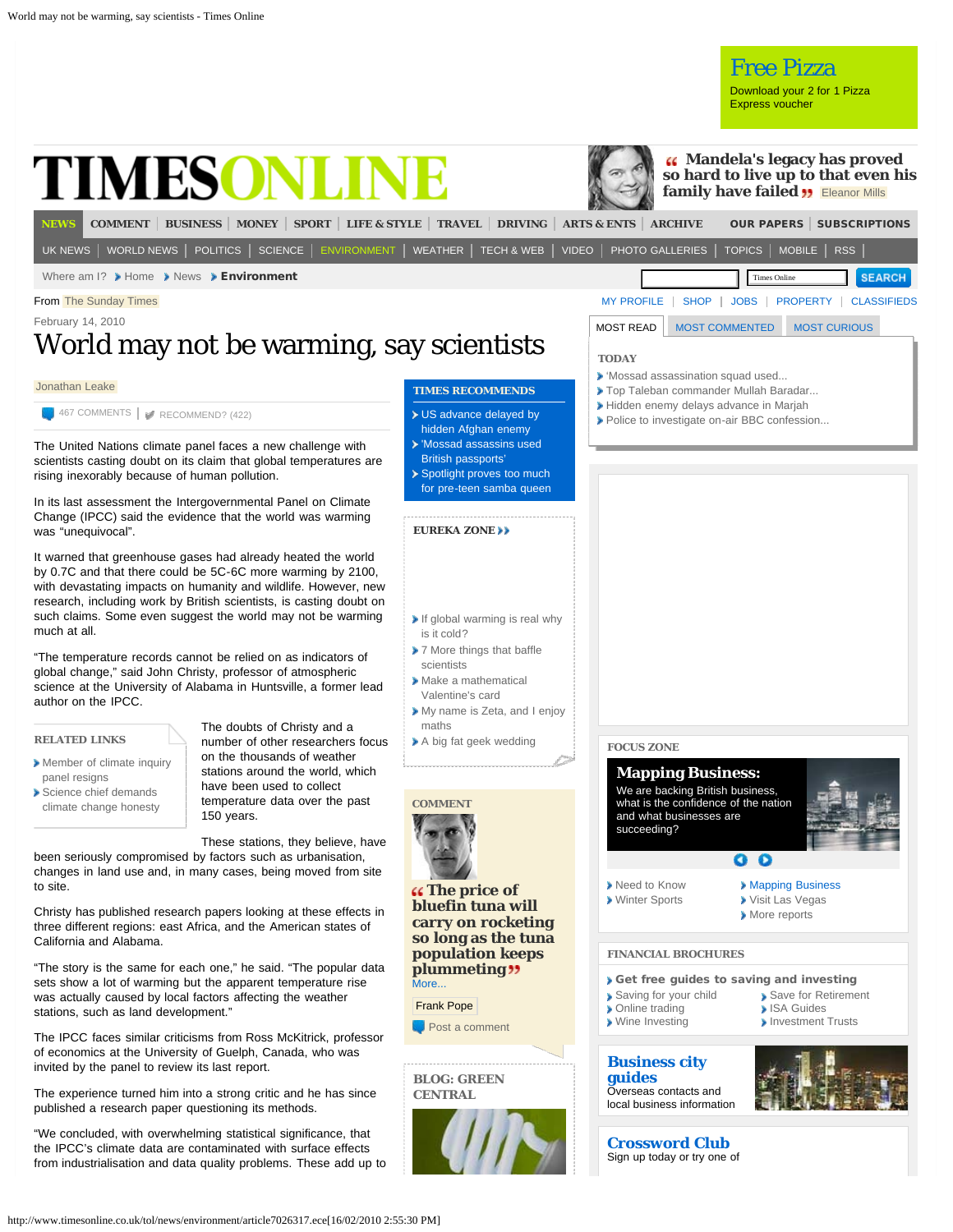<span id="page-0-0"></span>

- [Member of climate inquiry](http://www.timesonline.co.uk/tol/news/environment/article7023520.ece) [panel resigns](http://www.timesonline.co.uk/tol/news/environment/article7023520.ece) [Science chief demands](http://www.timesonline.co.uk/tol/news/environment/article7003622.ece)
- [climate change honesty](http://www.timesonline.co.uk/tol/news/environment/article7003622.ece)

on the thousands of weather stations around the world, which have been used to collect temperature data over the past 150 years.

These stations, they believe, have been seriously compromised by factors such as urbanisation,

changes in land use and, in many cases, being moved from site to site.

Christy has published research papers looking at these effects in three different regions: east Africa, and the American states of California and Alabama.

"The story is the same for each one," he said. "The popular data sets show a lot of warming but the apparent temperature rise was actually caused by local factors affecting the weather stations, such as land development."

The IPCC faces similar criticisms from Ross McKitrick, professor of economics at the University of Guelph, Canada, who was invited by the panel to review its last report.

The experience turned him into a strong critic and he has since published a research paper questioning its methods.

"We concluded, with overwhelming statistical significance, that the IPCC's climate data are contaminated with surface effects from industrialisation and data quality problems. These add up to



**[The price of](http://www.timesonline.co.uk/tol/comment/columnists/guest_contributors/article6992932.ece) [bluefin tuna will](http://www.timesonline.co.uk/tol/comment/columnists/guest_contributors/article6992932.ece) [carry on rocketing](http://www.timesonline.co.uk/tol/comment/columnists/guest_contributors/article6992932.ece) [so long as the tuna](http://www.timesonline.co.uk/tol/comment/columnists/guest_contributors/article6992932.ece) [population keeps](http://www.timesonline.co.uk/tol/comment/columnists/guest_contributors/article6992932.ece) [plummeting](http://www.timesonline.co.uk/tol/comment/columnists/guest_contributors/article6992932.ece)**  $M$ ore...

Frank Pope

**[Post a comment](http://www.timesonline.co.uk/tol/comment/columnists/guest_contributors/article6992932.ece?openComment=true#comments-form)** 

**BLOG: GREEN CENTRAL**





**[guides](http://www.bcglocations.com/)** Overseas contacts and local business information



**[Crossword Club](http://entertainment.timesonline.co.uk/tol/arts_and_entertainment/games_and_puzzles/crossword/)** Sign up today or try one of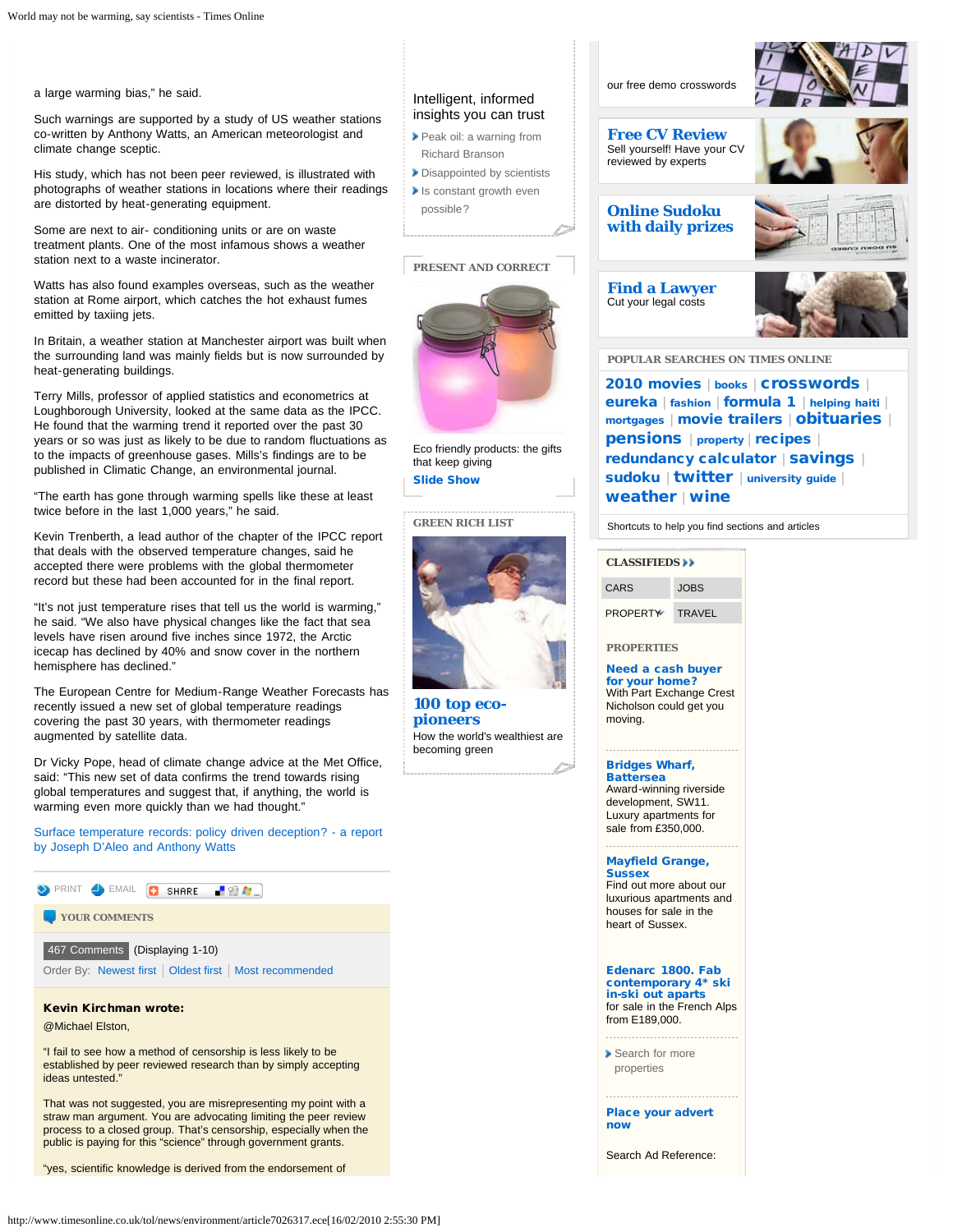a large warming bias," he said.

Such warnings are supported by a study of US weather stations co-written by Anthony Watts, an American meteorologist and climate change sceptic.

His study, which has not been peer reviewed, is illustrated with photographs of weather stations in locations where their readings are distorted by heat-generating equipment.

Some are next to air- conditioning units or are on waste treatment plants. One of the most infamous shows a weather station next to a waste incinerator.

Watts has also found examples overseas, such as the weather station at Rome airport, which catches the hot exhaust fumes emitted by taxiing jets.

In Britain, a weather station at Manchester airport was built when the surrounding land was mainly fields but is now surrounded by heat-generating buildings.

Terry Mills, professor of applied statistics and econometrics at Loughborough University, looked at the same data as the IPCC. He found that the warming trend it reported over the past 30 years or so was just as likely to be due to random fluctuations as to the impacts of greenhouse gases. Mills's findings are to be published in Climatic Change, an environmental journal.

"The earth has gone through warming spells like these at least twice before in the last 1,000 years," he said.

Kevin Trenberth, a lead author of the chapter of the IPCC report that deals with the observed temperature changes, said he accepted there were problems with the global thermometer record but these had been accounted for in the final report.

"It's not just temperature rises that tell us the world is warming," he said. "We also have physical changes like the fact that sea levels have risen around five inches since 1972, the Arctic icecap has declined by 40% and snow cover in the northern hemisphere has declined."

The European Centre for Medium-Range Weather Forecasts has recently issued a new set of global temperature readings covering the past 30 years, with thermometer readings augmented by satellite data.

Dr Vicky Pope, head of climate change advice at the Met Office, said: "This new set of data confirms the trend towards rising global temperatures and suggest that, if anything, the world is warming even more quickly than we had thought."

[Surface temperature records: policy driven deception? - a report](http://scienceandpublicpolicy.org/images/stories/papers/originals/surface_temp.pdf) [by Joseph D'Aleo and Anthony Watts](http://scienceandpublicpolicy.org/images/stories/papers/originals/surface_temp.pdf)

<span id="page-1-0"></span>

That was not suggested, you are misrepresenting my point with a straw man argument. You are advocating limiting the peer review process to a closed group. That's censorship, especially when the public is paying for this "science" through government grants.

"yes, scientific knowledge is derived from the endorsement of

# Intelligent, informed insights you can trust

- [Peak oil: a warning from](http://timesonline.typepad.com/environment/2010/02/peak-oil-a-warning-from-richard-branson.html) [Richard Branson](http://timesonline.typepad.com/environment/2010/02/peak-oil-a-warning-from-richard-branson.html)
- [Disappointed by scientists](http://timesonline.typepad.com/environment/2010/02/disappointed-by-scientists.html) [Is constant growth even](http://timesonline.typepad.com/environment/2010/01/is-constant-growth-even-possible.html) [possible?](http://timesonline.typepad.com/environment/2010/01/is-constant-growth-even-possible.html)

# **PRESENT AND CORRECT**



Eco friendly products: the gifts that keep giving [Slide Show](javascript:;)

**GREEN RICH LIST**



**[100 top eco](http://www.timesonline.co.uk/tol/business/specials/rich_list/article5821334.ece)[pioneers](http://www.timesonline.co.uk/tol/business/specials/rich_list/article5821334.ece)** How the world's wealthiest are becoming green



**[Free CV Review](http://www.thefullercv.com/timesonline.asp)** Sell yourself! Have your CV reviewed by experts



# **[Online Sudoku](http://entertainment.timesonline.co.uk/tol/arts_and_entertainment/games_and_puzzles/sudoku/interactive_sudoku/) [with daily prizes](http://entertainment.timesonline.co.uk/tol/arts_and_entertainment/games_and_puzzles/sudoku/interactive_sudoku/)**

**[Find a Lawyer](http://www.takelegaladvice.com/affiliates/?id=Times-(Personal))** Cut your legal costs



**POPULAR SEARCHES ON TIMES ONLINE**

[2010 movies](http://entertainment.timesonline.co.uk/tol/arts_and_entertainment/film/article6885334.ece) | [books](http://entertainment.timesonline.co.uk/tol/arts_and_entertainment/books/) | Crosswords | [eureka](http://www.timesonline.co.uk/tol/news/science/eureka/) | [fashion](http://women.timesonline.co.uk/tol/life_and_style/women/fashion/) | [formula 1](http://www.timesonline.co.uk/tol/sport/formula_1/) | [helping haiti](http://www.thesun.co.uk/sol/homepage/2810111/Helping-Haiti-donate-here.html) | [mortgages](http://www.timesonline.co.uk/tol/money/property_and_mortgages/) | [movie trailers](http://entertainment.timesonline.co.uk/tol/arts_and_entertainment/film/trailers/) | [obituaries](http://www.timesonline.co.uk/tol/comment/obituaries/) | [pensions](http://www.timesonline.co.uk/tol/money/pensions/) | [property](http://property.timesonline.co.uk/tol/life_and_style/property/) | [recipes](http://www.timesonline.co.uk/tol/life_and_style/food_and_drink/recipes/) | [redundancy calculator](http://business.timesonline.co.uk/tol/business/commercial/calculator/) | [savings](http://www.timesonline.co.uk/tol/money/savings/) | [sudoku](http://entertainment.timesonline.co.uk/tol/arts_and_entertainment/games_and_puzzles/sudoku/) | [twitter](http://www.timesonline.co.uk/tol/tools_and_services/twitter/) | [university guide](http://www.timesonline.co.uk/tol/life_and_style/education/sunday_times_university_guide/) | [weather](http://www.timesonline.co.uk/tol/news/weather/) | [wine](http://www.timesonline.co.uk/tol/life_and_style/food_and_drink/wine/)

Shortcuts to help you find sections and articles

CARS JOBS PROPERTY TRAVEL **[CLASSIFIEDS](http://www.timesonline.co.uk/tol/classifieds/)**

**PROPERTIES**

[Need a cash buyer](http://www.crestnicholson.com/incentives/partexchange.aspx) [for your home?](http://www.crestnicholson.com/incentives/partexchange.aspx) With Part Exchange Crest Nicholson could get you moving.

[Bridges Wharf,](http://clk.atdmt.com/ANM/go/199381969/direct/01/) **[Battersea](http://clk.atdmt.com/ANM/go/199381969/direct/01/)** Award-winning riverside development, SW11. Luxury apartments for sale from £350,000.

### [Mayfield Grange,](http://clk.atdmt.com/ANM/go/199381970/direct/01/) **[Sussex](http://clk.atdmt.com/ANM/go/199381970/direct/01/)**

Find out more about our luxurious apartments and houses for sale in the heart of Sussex.

[Edenarc 1800. Fab](http://www.ernalowproperty.co.uk/edenarc) [contemporary 4\\* ski](http://www.ernalowproperty.co.uk/edenarc) [in-ski out aparts](http://www.ernalowproperty.co.uk/edenarc) for sale in the French Alps from E189,000.

...................................

[Search for more](http://uk.propertyfinder.com/2/pf/da/timesonline/home.do) [properties](http://uk.propertyfinder.com/2/pf/da/timesonline/home.do)

[Place your advert](https://www.advertising.newsint.co.uk/webAdvertising/private/adManager) [now](https://www.advertising.newsint.co.uk/webAdvertising/private/adManager)

Search Ad Reference: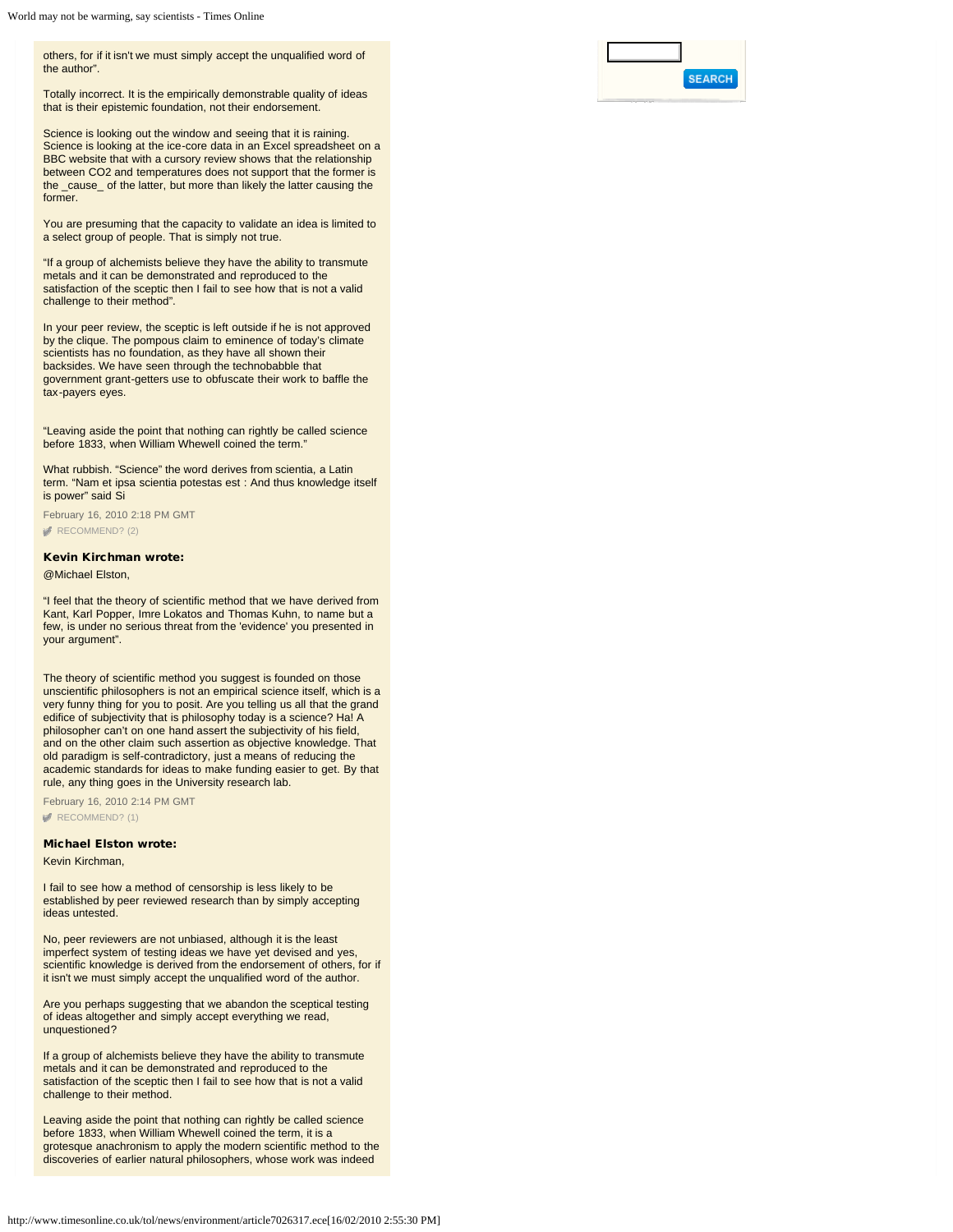others, for if it isn't we must simply accept the unqualified word of the author".

Totally incorrect. It is the empirically demonstrable quality of ideas that is their epistemic foundation, not their endorsement.

Science is looking out the window and seeing that it is raining. Science is looking at the ice-core data in an Excel spreadsheet on a BBC website that with a cursory review shows that the relationship between CO2 and temperatures does not support that the former is the \_cause\_ of the latter, but more than likely the latter causing the former.

You are presuming that the capacity to validate an idea is limited to a select group of people. That is simply not true.

"If a group of alchemists believe they have the ability to transmute metals and it can be demonstrated and reproduced to the satisfaction of the sceptic then I fail to see how that is not a valid challenge to their method".

In your peer review, the sceptic is left outside if he is not approved by the clique. The pompous claim to eminence of today's climate scientists has no foundation, as they have all shown their backsides. We have seen through the technobabble that government grant-getters use to obfuscate their work to baffle the tax-payers eyes.

"Leaving aside the point that nothing can rightly be called science before 1833, when William Whewell coined the term."

What rubbish. "Science" the word derives from scientia, a Latin term. "Nam et ipsa scientia potestas est : And thus knowledge itself is power" said Si

February 16, 2010 2:18 PM GMT [RECOMMEND? \(2\)](#page-0-0)

## Kevin Kirchman wrote:

@Michael Elston,

"I feel that the theory of scientific method that we have derived from Kant, Karl Popper, Imre Lokatos and Thomas Kuhn, to name but a few, is under no serious threat from the 'evidence' you presented in your argument".

The theory of scientific method you suggest is founded on those unscientific philosophers is not an empirical science itself, which is a very funny thing for you to posit. Are you telling us all that the grand edifice of subjectivity that is philosophy today is a science? Ha! A philosopher can't on one hand assert the subjectivity of his field, and on the other claim such assertion as objective knowledge. That old paradigm is self-contradictory, just a means of reducing the academic standards for ideas to make funding easier to get. By that rule, any thing goes in the University research lab.

February 16, 2010 2:14 PM GMT [RECOMMEND? \(1\)](#page-0-0)

### Michael Elston wrote:

Kevin Kirchman,

I fail to see how a method of censorship is less likely to be established by peer reviewed research than by simply accepting ideas untested.

No, peer reviewers are not unbiased, although it is the least imperfect system of testing ideas we have yet devised and yes, scientific knowledge is derived from the endorsement of others, for if it isn't we must simply accept the unqualified word of the author.

Are you perhaps suggesting that we abandon the sceptical testing of ideas altogether and simply accept everything we read, unquestioned?

If a group of alchemists believe they have the ability to transmute metals and it can be demonstrated and reproduced to the satisfaction of the sceptic then I fail to see how that is not a valid challenge to their method.

Leaving aside the point that nothing can rightly be called science before 1833, when William Whewell coined the term, it is a grotesque anachronism to apply the modern scientific method to the discoveries of earlier natural philosophers, whose work was indeed

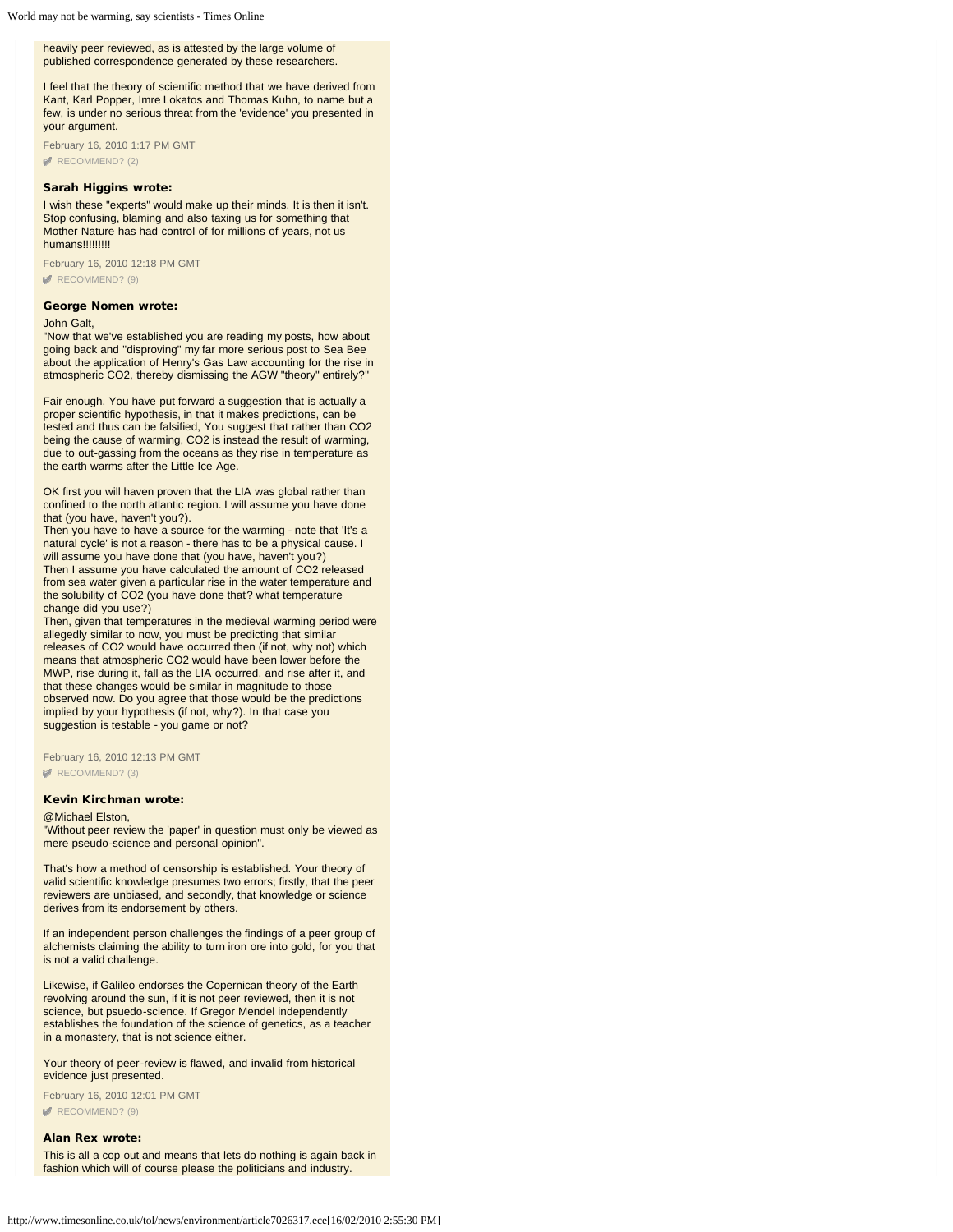heavily peer reviewed, as is attested by the large volume of published correspondence generated by these researchers.

I feel that the theory of scientific method that we have derived from Kant, Karl Popper, Imre Lokatos and Thomas Kuhn, to name but a few, is under no serious threat from the 'evidence' you presented in your argument.

February 16, 2010 1:17 PM GMT [RECOMMEND? \(2\)](#page-0-0)

### Sarah Higgins wrote:

I wish these "experts" would make up their minds. It is then it isn't. Stop confusing, blaming and also taxing us for something that Mother Nature has had control of for millions of years, not us humans!!!!!!!!!

February 16, 2010 12:18 PM GMT [RECOMMEND? \(9\)](#page-0-0)

### George Nomen wrote:

#### John Galt,

"Now that we've established you are reading my posts, how about going back and "disproving" my far more serious post to Sea Bee about the application of Henry's Gas Law accounting for the rise in atmospheric CO2, thereby dismissing the AGW "theory" entirely?"

Fair enough. You have put forward a suggestion that is actually a proper scientific hypothesis, in that it makes predictions, can be tested and thus can be falsified, You suggest that rather than CO2 being the cause of warming, CO2 is instead the result of warming, due to out-gassing from the oceans as they rise in temperature as the earth warms after the Little Ice Age.

OK first you will haven proven that the LIA was global rather than confined to the north atlantic region. I will assume you have done that (you have, haven't you?).

Then you have to have a source for the warming - note that 'It's a natural cycle' is not a reason - there has to be a physical cause. I will assume you have done that (you have, haven't you?)

Then I assume you have calculated the amount of CO2 released from sea water given a particular rise in the water temperature and the solubility of CO2 (you have done that? what temperature change did you use?)

Then, given that temperatures in the medieval warming period were allegedly similar to now, you must be predicting that similar releases of CO2 would have occurred then (if not, why not) which means that atmospheric CO2 would have been lower before the MWP, rise during it, fall as the LIA occurred, and rise after it, and that these changes would be similar in magnitude to those observed now. Do you agree that those would be the predictions implied by your hypothesis (if not, why?). In that case you suggestion is testable - you game or not?

February 16, 2010 12:13 PM GMT [RECOMMEND? \(3\)](#page-0-0)

### Kevin Kirchman wrote:

### @Michael Elston,

"Without peer review the 'paper' in question must only be viewed as mere pseudo-science and personal opinion".

That's how a method of censorship is established. Your theory of valid scientific knowledge presumes two errors; firstly, that the peer reviewers are unbiased, and secondly, that knowledge or science derives from its endorsement by others.

If an independent person challenges the findings of a peer group of alchemists claiming the ability to turn iron ore into gold, for you that is not a valid challenge.

Likewise, if Galileo endorses the Copernican theory of the Earth revolving around the sun, if it is not peer reviewed, then it is not science, but psuedo-science. If Gregor Mendel independently establishes the foundation of the science of genetics, as a teacher in a monastery, that is not science either.

Your theory of peer-review is flawed, and invalid from historical evidence just presented.

February 16, 2010 12:01 PM GMT

[RECOMMEND? \(9\)](#page-0-0)

### Alan Rex wrote:

This is all a cop out and means that lets do nothing is again back in fashion which will of course please the politicians and industry.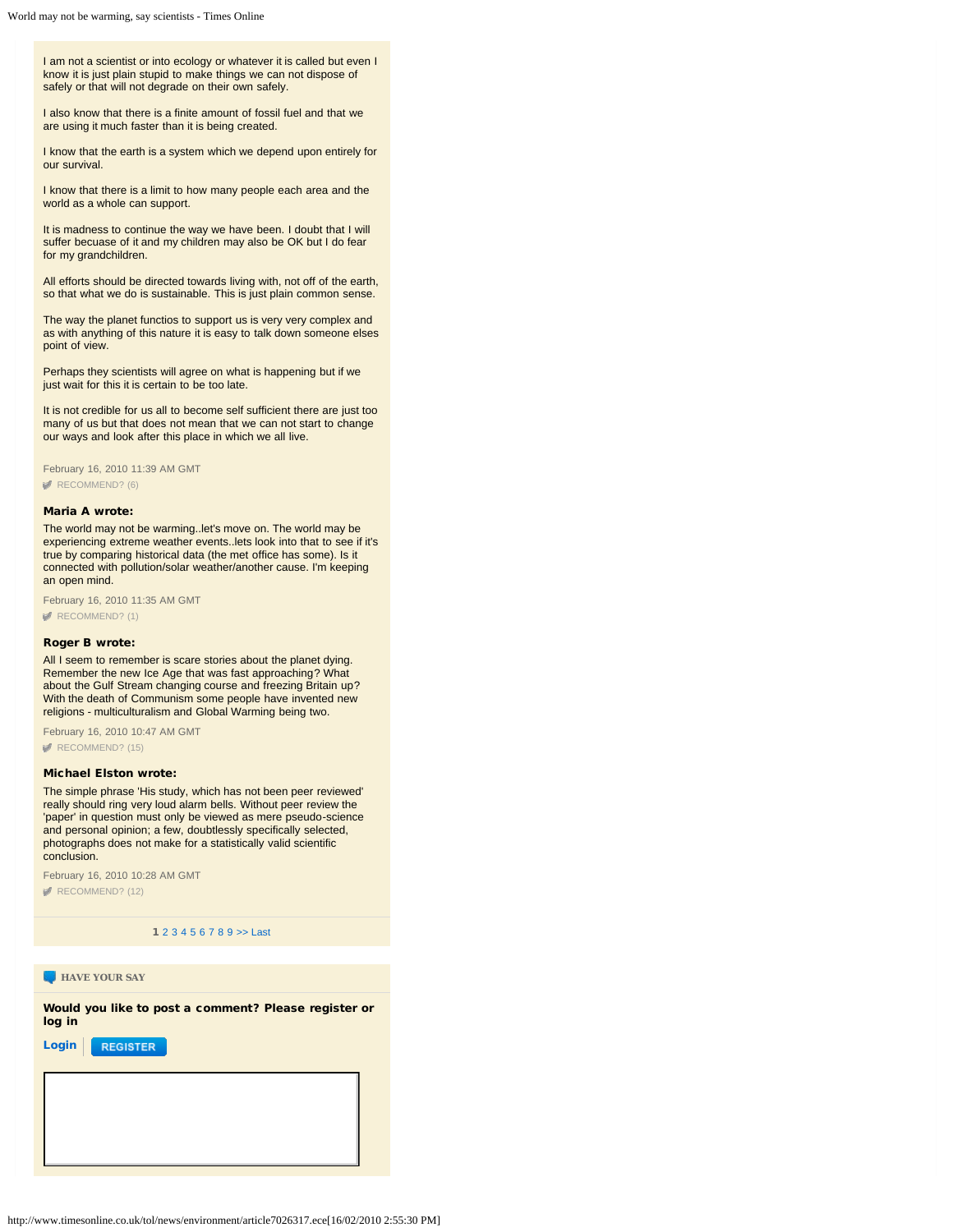I am not a scientist or into ecology or whatever it is called but even I know it is just plain stupid to make things we can not dispose of safely or that will not degrade on their own safely.

I also know that there is a finite amount of fossil fuel and that we are using it much faster than it is being created.

I know that the earth is a system which we depend upon entirely for our survival.

I know that there is a limit to how many people each area and the world as a whole can support.

It is madness to continue the way we have been. I doubt that I will suffer becuase of it and my children may also be OK but I do fear for my grandchildren.

All efforts should be directed towards living with, not off of the earth, so that what we do is sustainable. This is just plain common sense.

The way the planet functios to support us is very very complex and as with anything of this nature it is easy to talk down someone elses point of view.

Perhaps they scientists will agree on what is happening but if we just wait for this it is certain to be too late.

It is not credible for us all to become self sufficient there are just too many of us but that does not mean that we can not start to change our ways and look after this place in which we all live.

February 16, 2010 11:39 AM GMT [RECOMMEND? \(6\)](#page-0-0)

### Maria A wrote:

The world may not be warming..let's move on. The world may be experiencing extreme weather events..lets look into that to see if it's true by comparing historical data (the met office has some). Is it connected with pollution/solar weather/another cause. I'm keeping an open mind.

February 16, 2010 11:35 AM GMT [RECOMMEND? \(1\)](#page-0-0)

## Roger B wrote:

All I seem to remember is scare stories about the planet dying. Remember the new Ice Age that was fast approaching? What about the Gulf Stream changing course and freezing Britain up? With the death of Communism some people have invented new religions - multiculturalism and Global Warming being two.

February 16, 2010 10:47 AM GMT [RECOMMEND? \(15\)](#page-0-0)

# Michael Elston wrote:

The simple phrase 'His study, which has not been peer reviewed' really should ring very loud alarm bells. Without peer review the 'paper' in question must only be viewed as mere pseudo-science and personal opinion; a few, doubtlessly specifically selected, photographs does not make for a statistically valid scientific conclusion.

February 16, 2010 10:28 AM GMT [RECOMMEND? \(12\)](#page-0-0)

1 [2](#page-0-0) [3](#page-0-0) [4](#page-0-0) [5](#page-0-0) [6](#page-0-0) [7](#page-0-0) [8](#page-0-0) [9](#page-0-0) [>>](#page-0-0) [Last](#page-0-0)

**HAVE YOUR SAY** 

Would you like to post a comment? Please register or log in

[Login](javascript:void(0)) **REGISTER**